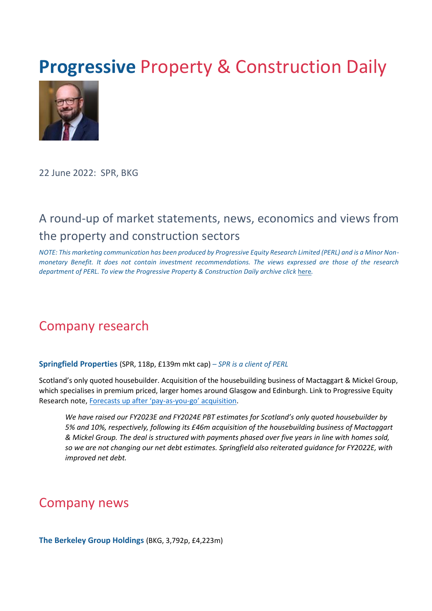# **Progressive Property & Construction Daily**



22 June 2022: SPR, BKG

## A round-up of market statements, news, economics and views from the property and construction sectors

*NOTE: This marketing communication has been produced by Progressive Equity Research Limited (PERL) and is a Minor Nonmonetary Benefit. It does not contain investment recommendations. The views expressed are those of the research department of PERL. To view the Progressive Property & Construction Daily archive cli[ck](https://www.progressive-research.com/industry-updates/?analyst=§or=38&published=all) [here](https://www.progressive-research.com/industry-updates/?analyst=§or=38&published=all)[.](https://www.progressive-research.com/industry-updates/?analyst=§or=38&published=all)* 

## Company research

**Springfield Properties** (SPR, 118p, £139m mkt cap) *– SPR is a client of PERL*

Scotland's only quoted housebuilder. Acquisition of the housebuilding business of Mactaggart & Mickel Group, which specialises in premium priced, larger homes around Glasgow and Edinburgh. Link to Progressive Equity Research note, [Forecasts up after 'pay](https://progressive-research.com/research/forecasts-up-after-pay-as-you-go-acquisition/)-as-you-go' acquisition.

*We have raised our FY2023E and FY2024E PBT estimates for Scotland's only quoted housebuilder by 5% and 10%, respectively, following its £46m acquisition of the housebuilding business of Mactaggart & Mickel Group. The deal is structured with payments phased over five years in line with homes sold, so we are not changing our net debt estimates. Springfield also reiterated guidance for FY2022E, with improved net debt.*

## Company news

**The Berkeley Group Holdings** (BKG, 3,792p, £4,223m)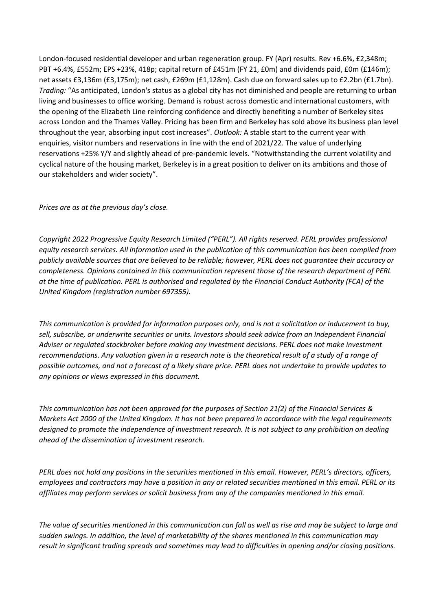London-focused residential developer and urban regeneration group. FY (Apr) results. Rev +6.6%, £2,348m; PBT +6.4%, £552m; EPS +23%, 418p; capital return of £451m (FY 21, £0m) and dividends paid, £0m (£146m); net assets £3,136m (£3,175m); net cash, £269m (£1,128m). Cash due on forward sales up to £2.2bn (£1.7bn). *Trading:* "As anticipated, London's status as a global city has not diminished and people are returning to urban living and businesses to office working. Demand is robust across domestic and international customers, with the opening of the Elizabeth Line reinforcing confidence and directly benefiting a number of Berkeley sites across London and the Thames Valley. Pricing has been firm and Berkeley has sold above its business plan level throughout the year, absorbing input cost increases". *Outlook:* A stable start to the current year with enquiries, visitor numbers and reservations in line with the end of 2021/22. The value of underlying reservations +25% Y/Y and slightly ahead of pre-pandemic levels. "Notwithstanding the current volatility and cyclical nature of the housing market, Berkeley is in a great position to deliver on its ambitions and those of our stakeholders and wider society".

#### *Prices are as at the previous day's close.*

*Copyright 2022 Progressive Equity Research Limited ("PERL"). All rights reserved. PERL provides professional equity research services. All information used in the publication of this communication has been compiled from publicly available sources that are believed to be reliable; however, PERL does not guarantee their accuracy or completeness. Opinions contained in this communication represent those of the research department of PERL at the time of publication. PERL is authorised and regulated by the Financial Conduct Authority (FCA) of the United Kingdom (registration number 697355).* 

*This communication is provided for information purposes only, and is not a solicitation or inducement to buy,*  sell, subscribe, or underwrite securities or units. Investors should seek advice from an Independent Financial *Adviser or regulated stockbroker before making any investment decisions. PERL does not make investment recommendations. Any valuation given in a research note is the theoretical result of a study of a range of possible outcomes, and not a forecast of a likely share price. PERL does not undertake to provide updates to any opinions or views expressed in this document.* 

*This communication has not been approved for the purposes of Section 21(2) of the Financial Services & Markets Act 2000 of the United Kingdom. It has not been prepared in accordance with the legal requirements designed to promote the independence of investment research. It is not subject to any prohibition on dealing ahead of the dissemination of investment research.* 

*PERL does not hold any positions in the securities mentioned in this email. However, PERL's directors, officers, employees and contractors may have a position in any or related securities mentioned in this email. PERL or its affiliates may perform services or solicit business from any of the companies mentioned in this email.*

*The value of securities mentioned in this communication can fall as well as rise and may be subject to large and sudden swings. In addition, the level of marketability of the shares mentioned in this communication may result in significant trading spreads and sometimes may lead to difficulties in opening and/or closing positions.*